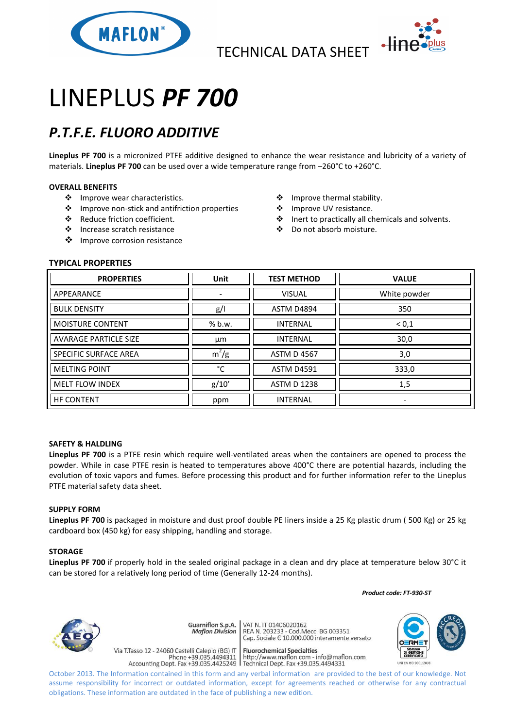



# LINEPLUS *PF 700*

## *P.T.F.E. FLUORO ADDITIVE*

**Lineplus PF 700** is a micronized PTFE additive designed to enhance the wear resistance and lubricity of a variety of materials. **Lineplus PF 700** can be used over a wide temperature range from –260°C to +260°C.

### **OVERALL BENEFITS**

- ❖ Improve wear characteristics.
- Improve non-stick and antifriction properties
- Reduce friction coefficient.
- Increase scratch resistance
- ❖ Improve corrosion resistance
- Improve thermal stability.
- ❖ Improve UV resistance.
- ❖ Inert to practically all chemicals and solvents.
- Do not absorb moisture.

#### **TYPICAL PROPERTIES**

| <b>PROPERTIES</b>            | <b>Unit</b>              | <b>TEST METHOD</b> | <b>VALUE</b> |
|------------------------------|--------------------------|--------------------|--------------|
| APPEARANCE                   | $\overline{\phantom{a}}$ | <b>VISUAL</b>      | White powder |
| <b>BULK DENSITY</b>          | g/l                      | <b>ASTM D4894</b>  | 350          |
| <b>MOISTURE CONTENT</b>      | % b.w.                   | <b>INTERNAL</b>    | < 0.1        |
| <b>AVARAGE PARTICLE SIZE</b> | μm                       | <b>INTERNAL</b>    | 30,0         |
| SPECIFIC SURFACE AREA        | $m^2/g$                  | <b>ASTM D 4567</b> | 3,0          |
| <b>MELTING POINT</b>         | °С                       | <b>ASTM D4591</b>  | 333,0        |
| <b>MELT FLOW INDEX</b>       | g/10'                    | <b>ASTM D 1238</b> | 1,5          |
| <b>HF CONTENT</b>            | ppm                      | <b>INTERNAL</b>    | ۰            |

#### **SAFETY & HALDLING**

**Lineplus PF 700** is a PTFE resin which require well-ventilated areas when the containers are opened to process the powder. While in case PTFE resin is heated to temperatures above 400°C there are potential hazards, including the evolution of toxic vapors and fumes. Before processing this product and for further information refer to the Lineplus PTFE material safety data sheet.

#### **SUPPLY FORM**

**Lineplus PF 700** is packaged in moisture and dust proof double PE liners inside a 25 Kg plastic drum ( 500 Kg) or 25 kg cardboard box (450 kg) for easy shipping, handling and storage.

#### **STORAGE**

**Lineplus PF 700** if properly hold in the sealed original package in a clean and dry place at temperature below 30°C it can be stored for a relatively long period of time (Generally 12-24 months).

 *Product code: FT-930-ST*



Guarniflon S.p.A. **Maflon Division** 

Via T.Tasso 12 - 24060 Castelli Calepio (BG) IT

VAT N. IT 01406020162 REA N. 11 01400020102<br>REA N. 203233 - Cod.Mecc. BG 003351<br>Cap. Sociale E 10.000.000 interamente versato

**Fluorochemical Specialties** rideso 12 - 24060 Castelli Calepio (BG) if<br>Phone +39.035.4494311 http://www.maflon.com - info@maflon.com<br>Accounting Dept. Fax +39.035.4425249 Technical Dept. Fax +39.035.4494331



October 2013. The Information contained in this form and any verbal information are provided to the best of our knowledge. Not assume responsibility for incorrect or outdated information, except for agreements reached or otherwise for any contractual obligations. These information are outdated in the face of publishing a new edition.